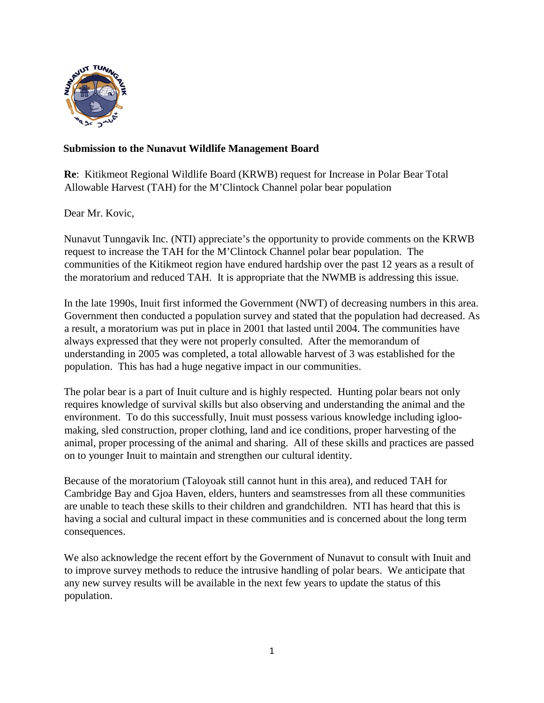

## **Submission to the Nunavut Wildlife Management Board**

**Re**: Kitikmeot Regional Wildlife Board (KRWB) request for Increase in Polar Bear Total Allowable Harvest (TAH) for the M'Clintock Channel polar bear population

Dear Mr. Kovic,

Nunavut Tunngavik Inc. (NTI) appreciate's the opportunity to provide comments on the KRWB request to increase the TAH for the M'Clintock Channel polar bear population. The communities of the Kitikmeot region have endured hardship over the past 12 years as a result of the moratorium and reduced TAH. It is appropriate that the NWMB is addressing this issue.

In the late 1990s, Inuit first informed the Government (NWT) of decreasing numbers in this area. Government then conducted a population survey and stated that the population had decreased. As a result, a moratorium was put in place in 2001 that lasted until 2004. The communities have always expressed that they were not properly consulted. After the memorandum of understanding in 2005 was completed, a total allowable harvest of 3 was established for the population. This has had a huge negative impact in our communities.

The polar bear is a part of Inuit culture and is highly respected. Hunting polar bears not only requires knowledge of survival skills but also observing and understanding the animal and the environment. To do this successfully, Inuit must possess various knowledge including igloomaking, sled construction, proper clothing, land and ice conditions, proper harvesting of the animal, proper processing of the animal and sharing. All of these skills and practices are passed on to younger Inuit to maintain and strengthen our cultural identity.

Because of the moratorium (Taloyoak still cannot hunt in this area), and reduced TAH for Cambridge Bay and Gjoa Haven, elders, hunters and seamstresses from all these communities are unable to teach these skills to their children and grandchildren. NTI has heard that this is having a social and cultural impact in these communities and is concerned about the long term consequences.

We also acknowledge the recent effort by the Government of Nunavut to consult with Inuit and to improve survey methods to reduce the intrusive handling of polar bears. We anticipate that any new survey results will be available in the next few years to update the status of this population.